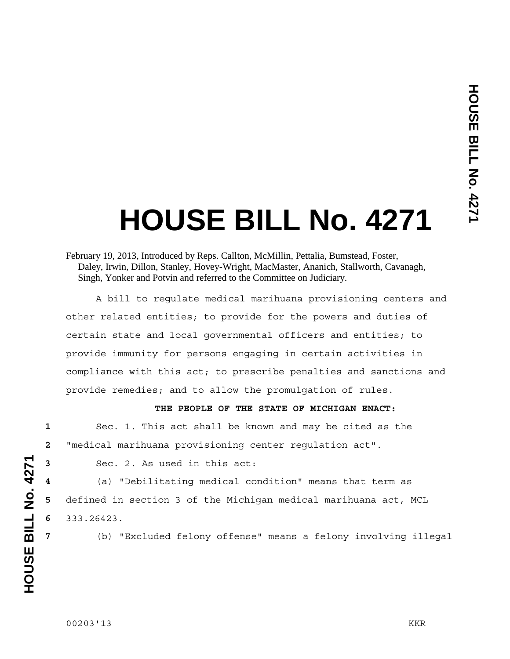# **HOUSE BILL No. 4271**

 A bill to regulate medical marihuana provisioning centers and other related entities; to provide for the powers and duties of certain state and local governmental officers and entities; to provide immunity for persons engaging in certain activities in compliance with this act; to prescribe penalties and sanctions and provide remedies; and to allow the promulgation of rules.

## **THE PEOPLE OF THE STATE OF MICHIGAN ENACT:**

**1** Sec. 1. This act shall be known and may be cited as the **2** "medical marihuana provisioning center regulation act".

**3** Sec. 2. As used in this act:

**4** (a) "Debilitating medical condition" means that term as **5** defined in section 3 of the Michigan medical marihuana act, MCL **6** 333.26423.

**7** (b) "Excluded felony offense" means a felony involving illegal

February 19, 2013, Introduced by Reps. Callton, McMillin, Pettalia, Bumstead, Foster, Daley, Irwin, Dillon, Stanley, Hovey-Wright, MacMaster, Ananich, Stallworth, Cavanagh, Singh, Yonker and Potvin and referred to the Committee on Judiciary.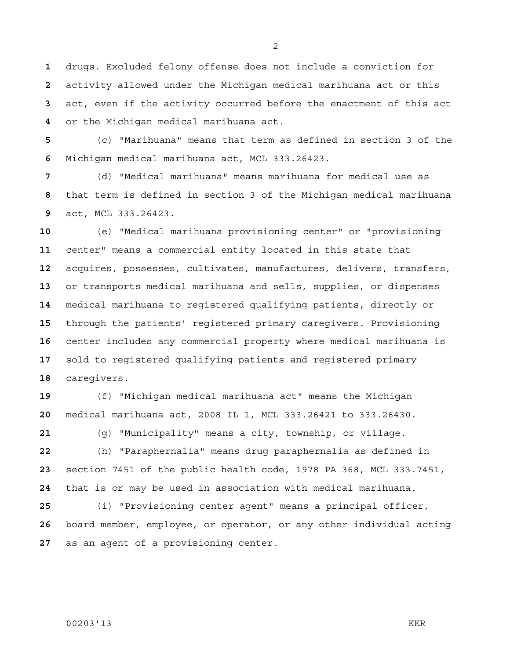drugs. Excluded felony offense does not include a conviction for activity allowed under the Michigan medical marihuana act or this act, even if the activity occurred before the enactment of this act or the Michigan medical marihuana act.

(c) "Marihuana" means that term as defined in section 3 of the Michigan medical marihuana act, MCL 333.26423.

(d) "Medical marihuana" means marihuana for medical use as that term is defined in section 3 of the Michigan medical marihuana act, MCL 333.26423.

(e) "Medical marihuana provisioning center" or "provisioning center" means a commercial entity located in this state that acquires, possesses, cultivates, manufactures, delivers, transfers, or transports medical marihuana and sells, supplies, or dispenses medical marihuana to registered qualifying patients, directly or through the patients' registered primary caregivers. Provisioning center includes any commercial property where medical marihuana is sold to registered qualifying patients and registered primary caregivers.

(f) "Michigan medical marihuana act" means the Michigan medical marihuana act, 2008 IL 1, MCL 333.26421 to 333.26430.

(g) "Municipality" means a city, township, or village.

(h) "Paraphernalia" means drug paraphernalia as defined in section 7451 of the public health code, 1978 PA 368, MCL 333.7451, that is or may be used in association with medical marihuana.

(i) "Provisioning center agent" means a principal officer, board member, employee, or operator, or any other individual acting as an agent of a provisioning center.

## 00203'13 KKR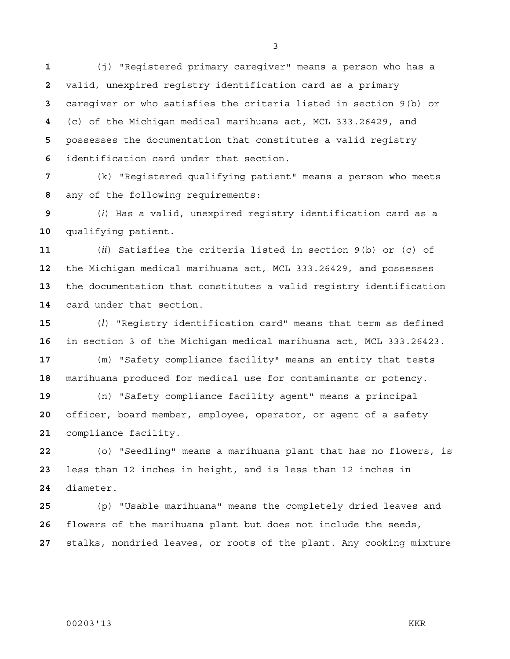(j) "Registered primary caregiver" means a person who has a valid, unexpired registry identification card as a primary caregiver or who satisfies the criteria listed in section 9(b) or (c) of the Michigan medical marihuana act, MCL 333.26429, and possesses the documentation that constitutes a valid registry identification card under that section.

(k) "Registered qualifying patient" means a person who meets any of the following requirements:

(*i*) Has a valid, unexpired registry identification card as a qualifying patient.

(*ii*) Satisfies the criteria listed in section 9(b) or (c) of the Michigan medical marihuana act, MCL 333.26429, and possesses the documentation that constitutes a valid registry identification card under that section.

(*l*) "Registry identification card" means that term as defined in section 3 of the Michigan medical marihuana act, MCL 333.26423.

(m) "Safety compliance facility" means an entity that tests marihuana produced for medical use for contaminants or potency.

(n) "Safety compliance facility agent" means a principal officer, board member, employee, operator, or agent of a safety compliance facility.

(o) "Seedling" means a marihuana plant that has no flowers, is less than 12 inches in height, and is less than 12 inches in diameter.

(p) "Usable marihuana" means the completely dried leaves and flowers of the marihuana plant but does not include the seeds, stalks, nondried leaves, or roots of the plant. Any cooking mixture

#### 

00203'13 KKR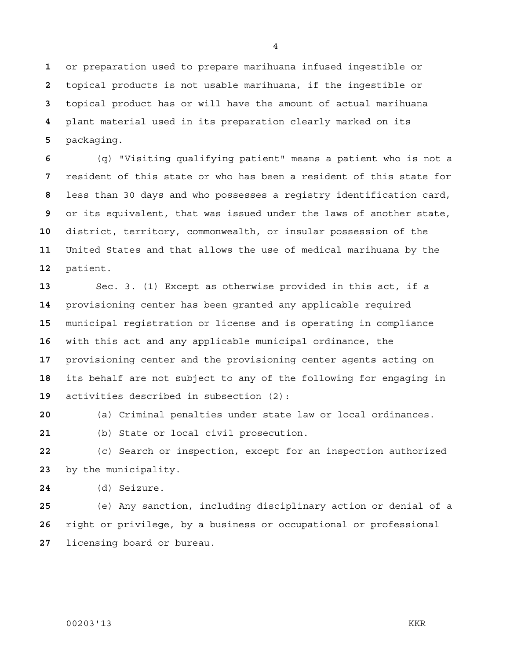or preparation used to prepare marihuana infused ingestible or topical products is not usable marihuana, if the ingestible or topical product has or will have the amount of actual marihuana plant material used in its preparation clearly marked on its packaging.

(q) "Visiting qualifying patient" means a patient who is not a resident of this state or who has been a resident of this state for less than 30 days and who possesses a registry identification card, or its equivalent, that was issued under the laws of another state, district, territory, commonwealth, or insular possession of the United States and that allows the use of medical marihuana by the patient.

Sec. 3. (1) Except as otherwise provided in this act, if a provisioning center has been granted any applicable required municipal registration or license and is operating in compliance with this act and any applicable municipal ordinance, the provisioning center and the provisioning center agents acting on its behalf are not subject to any of the following for engaging in activities described in subsection (2):

(a) Criminal penalties under state law or local ordinances.

(b) State or local civil prosecution.

(c) Search or inspection, except for an inspection authorized by the municipality.

(d) Seizure.

(e) Any sanction, including disciplinary action or denial of a right or privilege, by a business or occupational or professional licensing board or bureau.

## 00203'13 KKR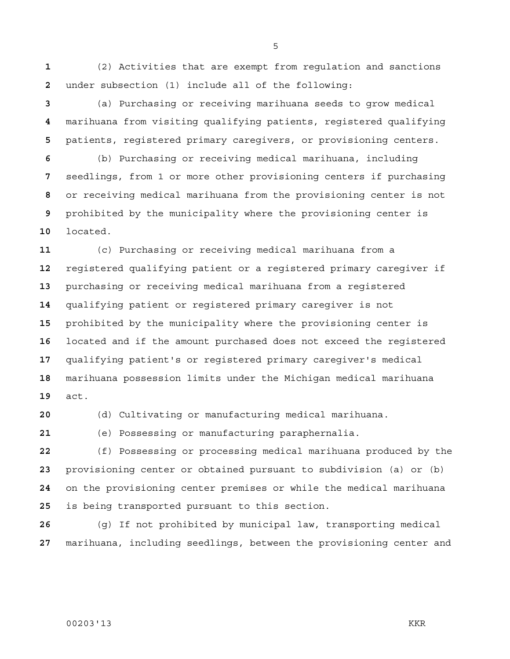(2) Activities that are exempt from regulation and sanctions under subsection (1) include all of the following:

(a) Purchasing or receiving marihuana seeds to grow medical marihuana from visiting qualifying patients, registered qualifying patients, registered primary caregivers, or provisioning centers.

(b) Purchasing or receiving medical marihuana, including seedlings, from 1 or more other provisioning centers if purchasing or receiving medical marihuana from the provisioning center is not prohibited by the municipality where the provisioning center is located.

(c) Purchasing or receiving medical marihuana from a registered qualifying patient or a registered primary caregiver if purchasing or receiving medical marihuana from a registered qualifying patient or registered primary caregiver is not prohibited by the municipality where the provisioning center is located and if the amount purchased does not exceed the registered qualifying patient's or registered primary caregiver's medical marihuana possession limits under the Michigan medical marihuana act.

(d) Cultivating or manufacturing medical marihuana.

(e) Possessing or manufacturing paraphernalia.

(f) Possessing or processing medical marihuana produced by the provisioning center or obtained pursuant to subdivision (a) or (b) on the provisioning center premises or while the medical marihuana is being transported pursuant to this section.

(g) If not prohibited by municipal law, transporting medical marihuana, including seedlings, between the provisioning center and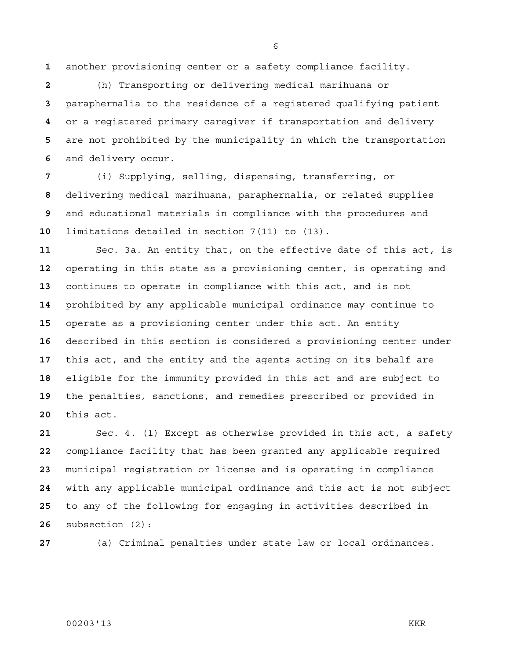another provisioning center or a safety compliance facility.

(h) Transporting or delivering medical marihuana or paraphernalia to the residence of a registered qualifying patient or a registered primary caregiver if transportation and delivery are not prohibited by the municipality in which the transportation and delivery occur.

(i) Supplying, selling, dispensing, transferring, or delivering medical marihuana, paraphernalia, or related supplies and educational materials in compliance with the procedures and limitations detailed in section 7(11) to (13).

Sec. 3a. An entity that, on the effective date of this act, is operating in this state as a provisioning center, is operating and continues to operate in compliance with this act, and is not prohibited by any applicable municipal ordinance may continue to operate as a provisioning center under this act. An entity described in this section is considered a provisioning center under this act, and the entity and the agents acting on its behalf are eligible for the immunity provided in this act and are subject to the penalties, sanctions, and remedies prescribed or provided in this act.

Sec. 4. (1) Except as otherwise provided in this act, a safety compliance facility that has been granted any applicable required municipal registration or license and is operating in compliance with any applicable municipal ordinance and this act is not subject to any of the following for engaging in activities described in subsection (2):

(a) Criminal penalties under state law or local ordinances.

## 00203'13 KKR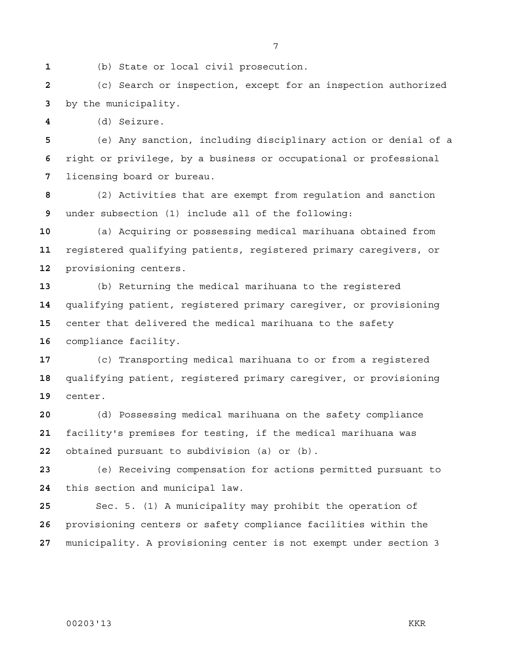(b) State or local civil prosecution.

(c) Search or inspection, except for an inspection authorized by the municipality.

(d) Seizure.

(e) Any sanction, including disciplinary action or denial of a right or privilege, by a business or occupational or professional licensing board or bureau.

(2) Activities that are exempt from regulation and sanction under subsection (1) include all of the following:

(a) Acquiring or possessing medical marihuana obtained from registered qualifying patients, registered primary caregivers, or provisioning centers.

(b) Returning the medical marihuana to the registered qualifying patient, registered primary caregiver, or provisioning center that delivered the medical marihuana to the safety compliance facility.

(c) Transporting medical marihuana to or from a registered qualifying patient, registered primary caregiver, or provisioning center.

(d) Possessing medical marihuana on the safety compliance facility's premises for testing, if the medical marihuana was obtained pursuant to subdivision (a) or (b).

(e) Receiving compensation for actions permitted pursuant to this section and municipal law.

Sec. 5. (1) A municipality may prohibit the operation of provisioning centers or safety compliance facilities within the municipality. A provisioning center is not exempt under section 3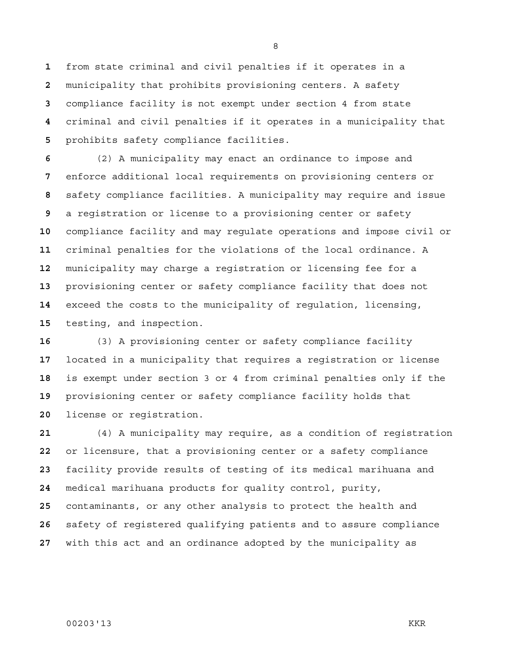from state criminal and civil penalties if it operates in a municipality that prohibits provisioning centers. A safety compliance facility is not exempt under section 4 from state criminal and civil penalties if it operates in a municipality that prohibits safety compliance facilities.

(2) A municipality may enact an ordinance to impose and enforce additional local requirements on provisioning centers or safety compliance facilities. A municipality may require and issue a registration or license to a provisioning center or safety compliance facility and may regulate operations and impose civil or criminal penalties for the violations of the local ordinance. A municipality may charge a registration or licensing fee for a provisioning center or safety compliance facility that does not exceed the costs to the municipality of regulation, licensing, testing, and inspection.

(3) A provisioning center or safety compliance facility located in a municipality that requires a registration or license is exempt under section 3 or 4 from criminal penalties only if the provisioning center or safety compliance facility holds that license or registration.

(4) A municipality may require, as a condition of registration or licensure, that a provisioning center or a safety compliance facility provide results of testing of its medical marihuana and medical marihuana products for quality control, purity, contaminants, or any other analysis to protect the health and safety of registered qualifying patients and to assure compliance with this act and an ordinance adopted by the municipality as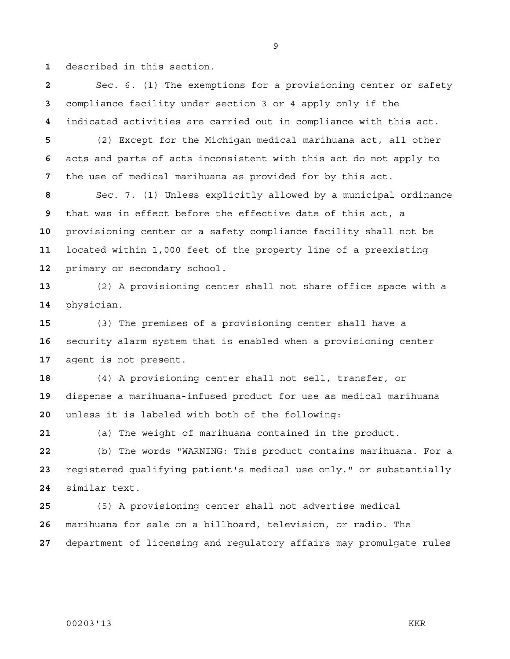described in this section.

Sec. 6. (1) The exemptions for a provisioning center or safety compliance facility under section 3 or 4 apply only if the indicated activities are carried out in compliance with this act. (2) Except for the Michigan medical marihuana act, all other acts and parts of acts inconsistent with this act do not apply to the use of medical marihuana as provided for by this act.

Sec. 7. (1) Unless explicitly allowed by a municipal ordinance that was in effect before the effective date of this act, a provisioning center or a safety compliance facility shall not be located within 1,000 feet of the property line of a preexisting primary or secondary school.

(2) A provisioning center shall not share office space with a physician.

(3) The premises of a provisioning center shall have a security alarm system that is enabled when a provisioning center agent is not present.

(4) A provisioning center shall not sell, transfer, or dispense a marihuana-infused product for use as medical marihuana unless it is labeled with both of the following:

(a) The weight of marihuana contained in the product.

(b) The words "WARNING: This product contains marihuana. For a registered qualifying patient's medical use only." or substantially similar text.

(5) A provisioning center shall not advertise medical marihuana for sale on a billboard, television, or radio. The department of licensing and regulatory affairs may promulgate rules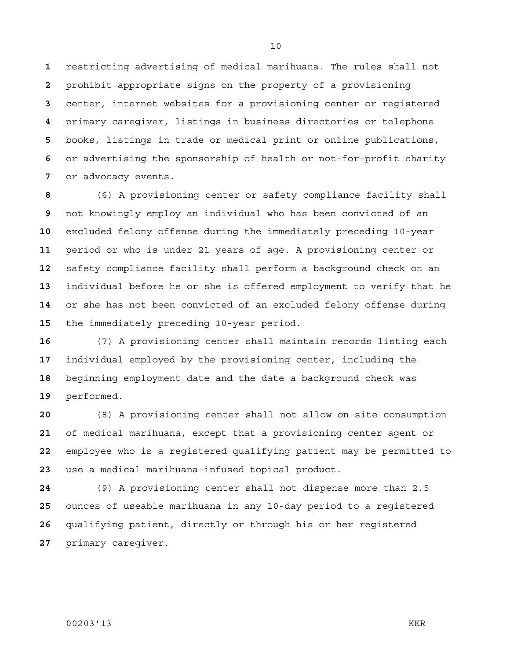restricting advertising of medical marihuana. The rules shall not prohibit appropriate signs on the property of a provisioning center, internet websites for a provisioning center or registered primary caregiver, listings in business directories or telephone books, listings in trade or medical print or online publications, or advertising the sponsorship of health or not-for-profit charity or advocacy events.

(6) A provisioning center or safety compliance facility shall not knowingly employ an individual who has been convicted of an excluded felony offense during the immediately preceding 10-year period or who is under 21 years of age. A provisioning center or safety compliance facility shall perform a background check on an individual before he or she is offered employment to verify that he or she has not been convicted of an excluded felony offense during the immediately preceding 10-year period.

(7) A provisioning center shall maintain records listing each individual employed by the provisioning center, including the beginning employment date and the date a background check was performed.

(8) A provisioning center shall not allow on-site consumption of medical marihuana, except that a provisioning center agent or employee who is a registered qualifying patient may be permitted to use a medical marihuana-infused topical product.

(9) A provisioning center shall not dispense more than 2.5 ounces of useable marihuana in any 10-day period to a registered qualifying patient, directly or through his or her registered primary caregiver.

## 00203'13 KKR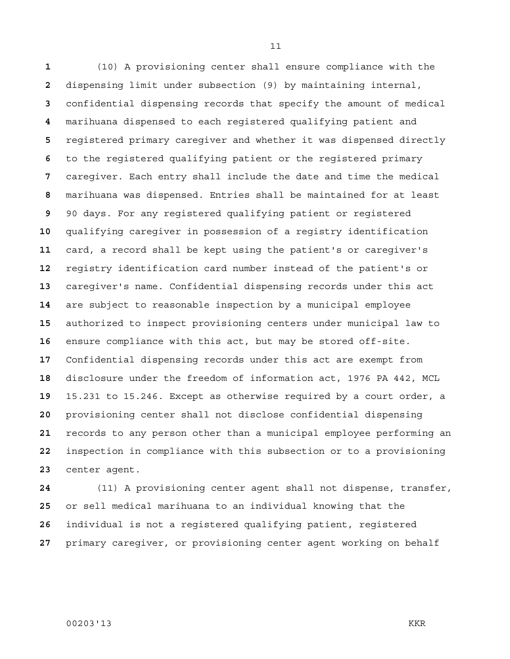(10) A provisioning center shall ensure compliance with the dispensing limit under subsection (9) by maintaining internal, confidential dispensing records that specify the amount of medical marihuana dispensed to each registered qualifying patient and registered primary caregiver and whether it was dispensed directly to the registered qualifying patient or the registered primary caregiver. Each entry shall include the date and time the medical marihuana was dispensed. Entries shall be maintained for at least 90 days. For any registered qualifying patient or registered qualifying caregiver in possession of a registry identification card, a record shall be kept using the patient's or caregiver's registry identification card number instead of the patient's or caregiver's name. Confidential dispensing records under this act are subject to reasonable inspection by a municipal employee authorized to inspect provisioning centers under municipal law to ensure compliance with this act, but may be stored off-site. Confidential dispensing records under this act are exempt from disclosure under the freedom of information act, 1976 PA 442, MCL 15.231 to 15.246. Except as otherwise required by a court order, a provisioning center shall not disclose confidential dispensing records to any person other than a municipal employee performing an inspection in compliance with this subsection or to a provisioning center agent.

(11) A provisioning center agent shall not dispense, transfer, or sell medical marihuana to an individual knowing that the individual is not a registered qualifying patient, registered primary caregiver, or provisioning center agent working on behalf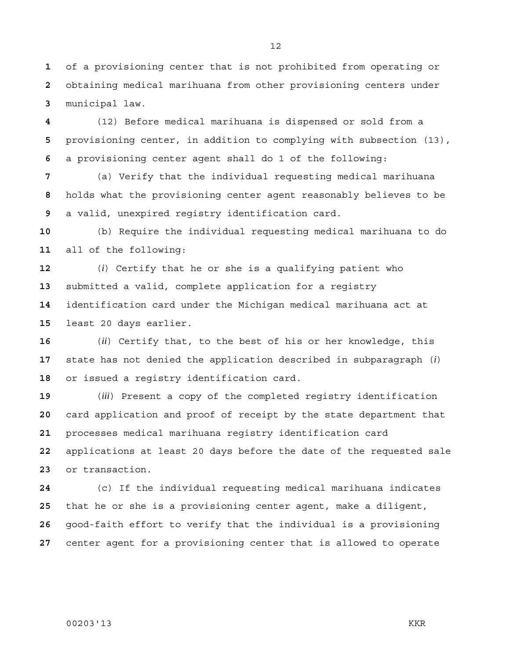of a provisioning center that is not prohibited from operating or obtaining medical marihuana from other provisioning centers under municipal law.

(12) Before medical marihuana is dispensed or sold from a provisioning center, in addition to complying with subsection (13), a provisioning center agent shall do 1 of the following:

(a) Verify that the individual requesting medical marihuana holds what the provisioning center agent reasonably believes to be a valid, unexpired registry identification card.

(b) Require the individual requesting medical marihuana to do all of the following:

(*i*) Certify that he or she is a qualifying patient who submitted a valid, complete application for a registry identification card under the Michigan medical marihuana act at least 20 days earlier.

(*ii*) Certify that, to the best of his or her knowledge, this state has not denied the application described in subparagraph (*i*) or issued a registry identification card.

(*iii*) Present a copy of the completed registry identification card application and proof of receipt by the state department that processes medical marihuana registry identification card applications at least 20 days before the date of the requested sale or transaction.

(c) If the individual requesting medical marihuana indicates that he or she is a provisioning center agent, make a diligent, good-faith effort to verify that the individual is a provisioning center agent for a provisioning center that is allowed to operate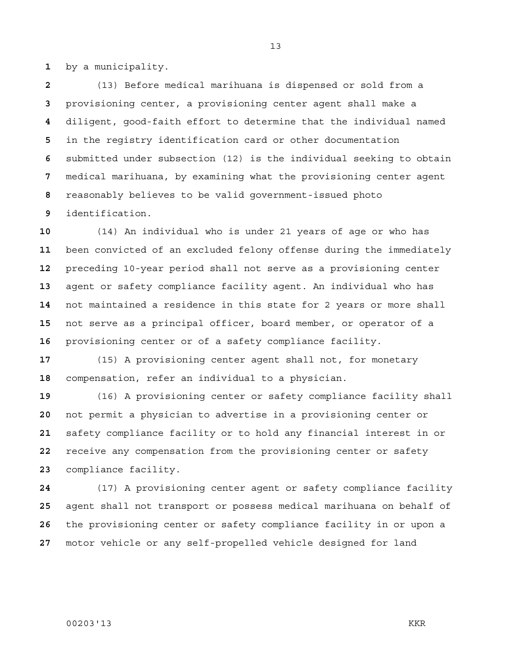by a municipality.

(13) Before medical marihuana is dispensed or sold from a provisioning center, a provisioning center agent shall make a diligent, good-faith effort to determine that the individual named in the registry identification card or other documentation submitted under subsection (12) is the individual seeking to obtain medical marihuana, by examining what the provisioning center agent reasonably believes to be valid government-issued photo identification.

(14) An individual who is under 21 years of age or who has been convicted of an excluded felony offense during the immediately preceding 10-year period shall not serve as a provisioning center agent or safety compliance facility agent. An individual who has not maintained a residence in this state for 2 years or more shall not serve as a principal officer, board member, or operator of a provisioning center or of a safety compliance facility.

(15) A provisioning center agent shall not, for monetary compensation, refer an individual to a physician.

(16) A provisioning center or safety compliance facility shall not permit a physician to advertise in a provisioning center or safety compliance facility or to hold any financial interest in or receive any compensation from the provisioning center or safety compliance facility.

(17) A provisioning center agent or safety compliance facility agent shall not transport or possess medical marihuana on behalf of the provisioning center or safety compliance facility in or upon a motor vehicle or any self-propelled vehicle designed for land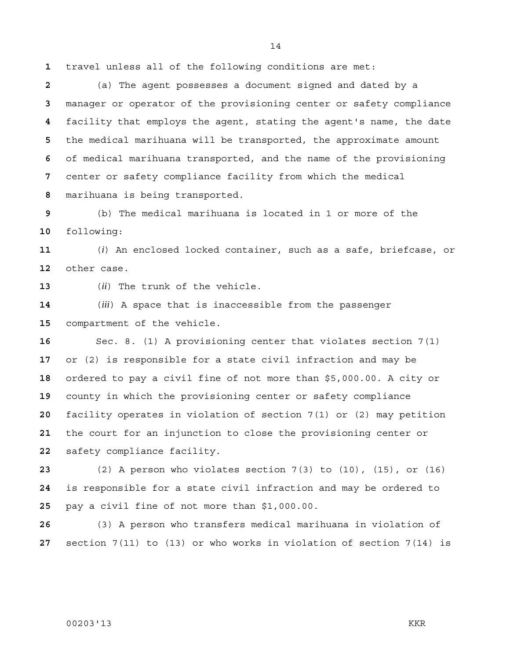travel unless all of the following conditions are met:

(a) The agent possesses a document signed and dated by a manager or operator of the provisioning center or safety compliance facility that employs the agent, stating the agent's name, the date the medical marihuana will be transported, the approximate amount of medical marihuana transported, and the name of the provisioning center or safety compliance facility from which the medical marihuana is being transported.

(b) The medical marihuana is located in 1 or more of the following:

(*i*) An enclosed locked container, such as a safe, briefcase, or other case.

(*ii*) The trunk of the vehicle.

(*iii*) A space that is inaccessible from the passenger compartment of the vehicle.

Sec. 8. (1) A provisioning center that violates section 7(1) or (2) is responsible for a state civil infraction and may be ordered to pay a civil fine of not more than \$5,000.00. A city or county in which the provisioning center or safety compliance facility operates in violation of section 7(1) or (2) may petition the court for an injunction to close the provisioning center or safety compliance facility.

(2) A person who violates section 7(3) to (10), (15), or (16) is responsible for a state civil infraction and may be ordered to pay a civil fine of not more than \$1,000.00.

(3) A person who transfers medical marihuana in violation of section 7(11) to (13) or who works in violation of section 7(14) is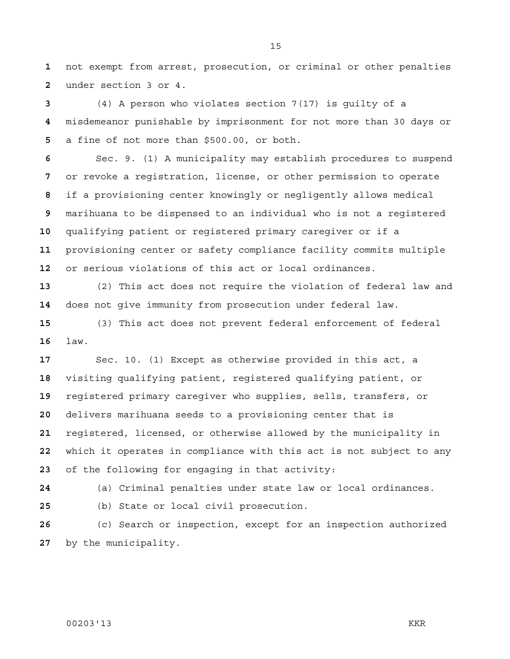not exempt from arrest, prosecution, or criminal or other penalties under section 3 or 4.

(4) A person who violates section 7(17) is guilty of a misdemeanor punishable by imprisonment for not more than 30 days or a fine of not more than \$500.00, or both.

Sec. 9. (1) A municipality may establish procedures to suspend or revoke a registration, license, or other permission to operate if a provisioning center knowingly or negligently allows medical marihuana to be dispensed to an individual who is not a registered qualifying patient or registered primary caregiver or if a provisioning center or safety compliance facility commits multiple or serious violations of this act or local ordinances.

(2) This act does not require the violation of federal law and does not give immunity from prosecution under federal law.

(3) This act does not prevent federal enforcement of federal law.

Sec. 10. (1) Except as otherwise provided in this act, a visiting qualifying patient, registered qualifying patient, or registered primary caregiver who supplies, sells, transfers, or delivers marihuana seeds to a provisioning center that is registered, licensed, or otherwise allowed by the municipality in which it operates in compliance with this act is not subject to any of the following for engaging in that activity:

(a) Criminal penalties under state law or local ordinances.

(b) State or local civil prosecution.

(c) Search or inspection, except for an inspection authorized by the municipality.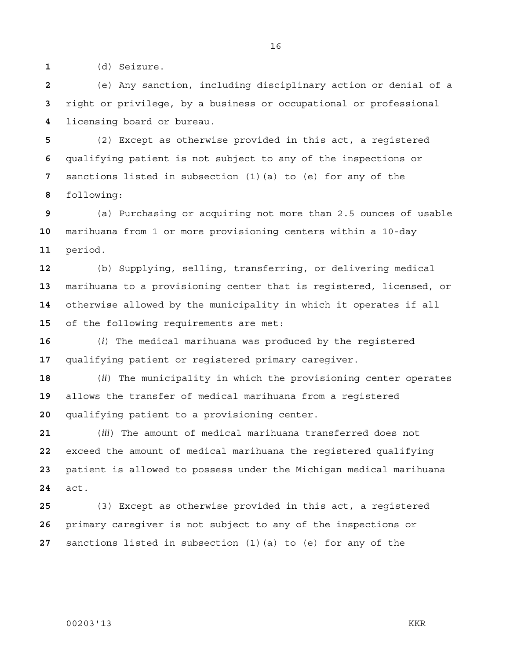(d) Seizure.

(e) Any sanction, including disciplinary action or denial of a right or privilege, by a business or occupational or professional licensing board or bureau.

(2) Except as otherwise provided in this act, a registered qualifying patient is not subject to any of the inspections or sanctions listed in subsection (1)(a) to (e) for any of the following:

(a) Purchasing or acquiring not more than 2.5 ounces of usable marihuana from 1 or more provisioning centers within a 10-day period.

(b) Supplying, selling, transferring, or delivering medical marihuana to a provisioning center that is registered, licensed, or otherwise allowed by the municipality in which it operates if all of the following requirements are met:

(*i*) The medical marihuana was produced by the registered qualifying patient or registered primary caregiver.

(*ii*) The municipality in which the provisioning center operates allows the transfer of medical marihuana from a registered qualifying patient to a provisioning center.

(*iii*) The amount of medical marihuana transferred does not exceed the amount of medical marihuana the registered qualifying patient is allowed to possess under the Michigan medical marihuana act.

(3) Except as otherwise provided in this act, a registered primary caregiver is not subject to any of the inspections or sanctions listed in subsection (1)(a) to (e) for any of the

## 00203'13 KKR